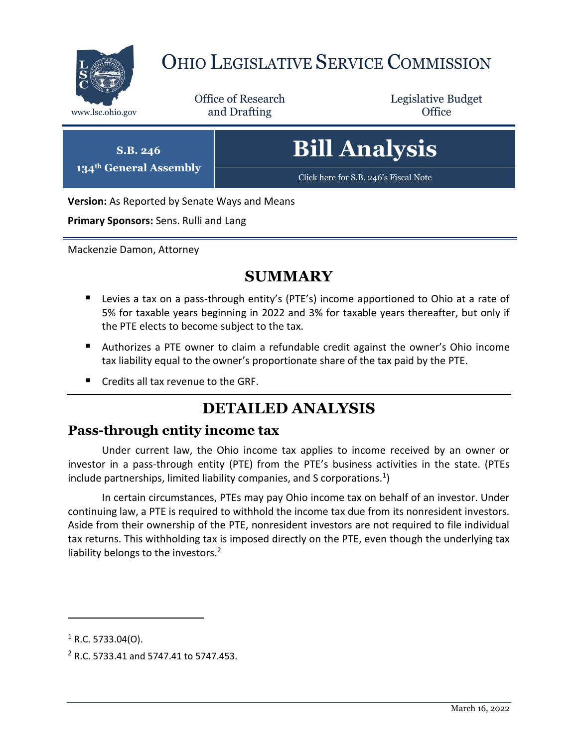

# OHIO LEGISLATIVE SERVICE COMMISSION

Office of Research www.lsc.ohio.gov **and Drafting Office** 

Legislative Budget

**S.B. 246**

**134th General Assembly**

**Bill Analysis**

[Click here for S.B. 246](https://www.legislature.ohio.gov/legislation/legislation-documents?id=GA134-SB-246)'s Fiscal Note

**Version:** As Reported by Senate Ways and Means

**Primary Sponsors:** Sens. Rulli and Lang

Mackenzie Damon, Attorney

### **SUMMARY**

- Levies a tax on a pass-through entity's (PTE's) income apportioned to Ohio at a rate of 5% for taxable years beginning in 2022 and 3% for taxable years thereafter, but only if the PTE elects to become subject to the tax.
- Authorizes a PTE owner to claim a refundable credit against the owner's Ohio income tax liability equal to the owner's proportionate share of the tax paid by the PTE.
- Credits all tax revenue to the GRF.

## **DETAILED ANALYSIS**

### **Pass-through entity income tax**

Under current law, the Ohio income tax applies to income received by an owner or investor in a pass-through entity (PTE) from the PTE's business activities in the state. (PTEs include partnerships, limited liability companies, and S corporations.<sup>1</sup>)

In certain circumstances, PTEs may pay Ohio income tax on behalf of an investor. Under continuing law, a PTE is required to withhold the income tax due from its nonresident investors. Aside from their ownership of the PTE, nonresident investors are not required to file individual tax returns. This withholding tax is imposed directly on the PTE, even though the underlying tax liability belongs to the investors.<sup>2</sup>

 $\overline{a}$ 

 $1$  R.C. 5733.04(O).

<sup>2</sup> R.C. 5733.41 and 5747.41 to 5747.453.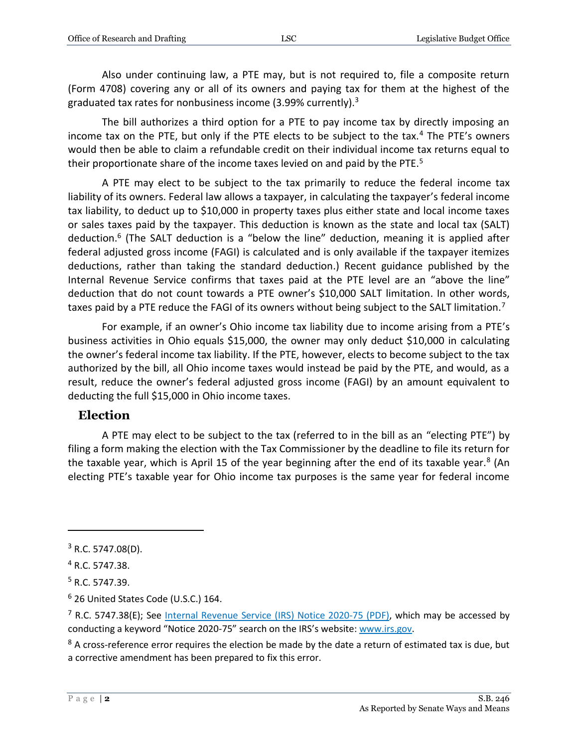Also under continuing law, a PTE may, but is not required to, file a composite return (Form 4708) covering any or all of its owners and paying tax for them at the highest of the graduated tax rates for nonbusiness income (3.99% currently).<sup>3</sup>

The bill authorizes a third option for a PTE to pay income tax by directly imposing an income tax on the PTE, but only if the PTE elects to be subject to the tax.<sup>4</sup> The PTE's owners would then be able to claim a refundable credit on their individual income tax returns equal to their proportionate share of the income taxes levied on and paid by the PTE.<sup>5</sup>

A PTE may elect to be subject to the tax primarily to reduce the federal income tax liability of its owners. Federal law allows a taxpayer, in calculating the taxpayer's federal income tax liability, to deduct up to \$10,000 in property taxes plus either state and local income taxes or sales taxes paid by the taxpayer. This deduction is known as the state and local tax (SALT) deduction.<sup>6</sup> (The SALT deduction is a "below the line" deduction, meaning it is applied after federal adjusted gross income (FAGI) is calculated and is only available if the taxpayer itemizes deductions, rather than taking the standard deduction.) Recent guidance published by the Internal Revenue Service confirms that taxes paid at the PTE level are an "above the line" deduction that do not count towards a PTE owner's \$10,000 SALT limitation. In other words, taxes paid by a PTE reduce the FAGI of its owners without being subject to the SALT limitation.<sup>7</sup>

For example, if an owner's Ohio income tax liability due to income arising from a PTE's business activities in Ohio equals \$15,000, the owner may only deduct \$10,000 in calculating the owner's federal income tax liability. If the PTE, however, elects to become subject to the tax authorized by the bill, all Ohio income taxes would instead be paid by the PTE, and would, as a result, reduce the owner's federal adjusted gross income (FAGI) by an amount equivalent to deducting the full \$15,000 in Ohio income taxes.

#### **Election**

A PTE may elect to be subject to the tax (referred to in the bill as an "electing PTE") by filing a form making the election with the Tax Commissioner by the deadline to file its return for the taxable year, which is April 15 of the year beginning after the end of its taxable year.<sup>8</sup> (An electing PTE's taxable year for Ohio income tax purposes is the same year for federal income

 $\overline{a}$ 

 $3$  R.C. 5747.08(D).

<sup>4</sup> R.C. 5747.38.

<sup>5</sup> R.C. 5747.39.

<sup>6</sup> 26 United States Code (U.S.C.) 164.

<sup>&</sup>lt;sup>7</sup> R.C. 5747.38(E); See [Internal Revenue Service \(IRS\)](https://www.irs.gov/pub/irs-drop/n-20-75.pdf) Notice 2020-75 (PDF), which may be accessed by conducting a keyword "Notice 2020-75" search on the IRS's website: [www.irs.gov.](http://www.irs.gov/)

 $8$  A cross-reference error requires the election be made by the date a return of estimated tax is due, but a corrective amendment has been prepared to fix this error.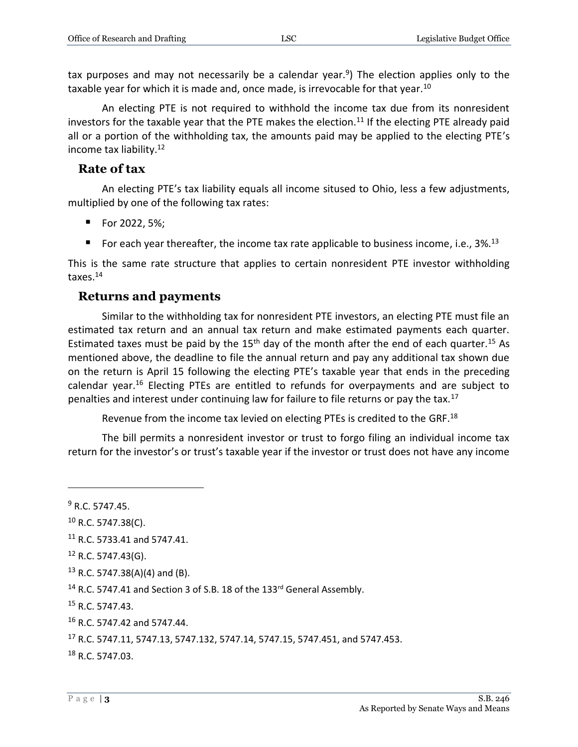tax purposes and may not necessarily be a calendar year.<sup>9</sup>) The election applies only to the taxable year for which it is made and, once made, is irrevocable for that year.<sup>10</sup>

An electing PTE is not required to withhold the income tax due from its nonresident investors for the taxable year that the PTE makes the election.<sup>11</sup> If the electing PTE already paid all or a portion of the withholding tax, the amounts paid may be applied to the electing PTE's income tax liability.<sup>12</sup>

#### **Rate of tax**

An electing PTE's tax liability equals all income sitused to Ohio, less a few adjustments, multiplied by one of the following tax rates:

- For 2022, 5%;
- For each year thereafter, the income tax rate applicable to business income, i.e.,  $3\%$ <sup>13</sup>

This is the same rate structure that applies to certain nonresident PTE investor withholding taxes.<sup>14</sup>

#### **Returns and payments**

Similar to the withholding tax for nonresident PTE investors, an electing PTE must file an estimated tax return and an annual tax return and make estimated payments each quarter. Estimated taxes must be paid by the  $15<sup>th</sup>$  day of the month after the end of each quarter.<sup>15</sup> As mentioned above, the deadline to file the annual return and pay any additional tax shown due on the return is April 15 following the electing PTE's taxable year that ends in the preceding calendar year.<sup>16</sup> Electing PTEs are entitled to refunds for overpayments and are subject to penalties and interest under continuing law for failure to file returns or pay the tax.<sup>17</sup>

Revenue from the income tax levied on electing PTEs is credited to the GRF.<sup>18</sup>

The bill permits a nonresident investor or trust to forgo filing an individual income tax return for the investor's or trust's taxable year if the investor or trust does not have any income

 $\overline{a}$ 

 $9 R. C. 5747.45.$ 

 $10$  R.C. 5747.38(C).

<sup>&</sup>lt;sup>11</sup> R.C. 5733.41 and 5747.41.

 $12$  R.C. 5747.43(G).

 $13$  R.C. 5747.38(A)(4) and (B).

<sup>&</sup>lt;sup>14</sup> R.C. 5747.41 and Section 3 of S.B. 18 of the 133<sup>rd</sup> General Assembly.

<sup>15</sup> R.C. 5747.43.

<sup>16</sup> R.C. 5747.42 and 5747.44.

<sup>17</sup> R.C. 5747.11, 5747.13, 5747.132, 5747.14, 5747.15, 5747.451, and 5747.453.

<sup>18</sup> R.C. 5747.03.